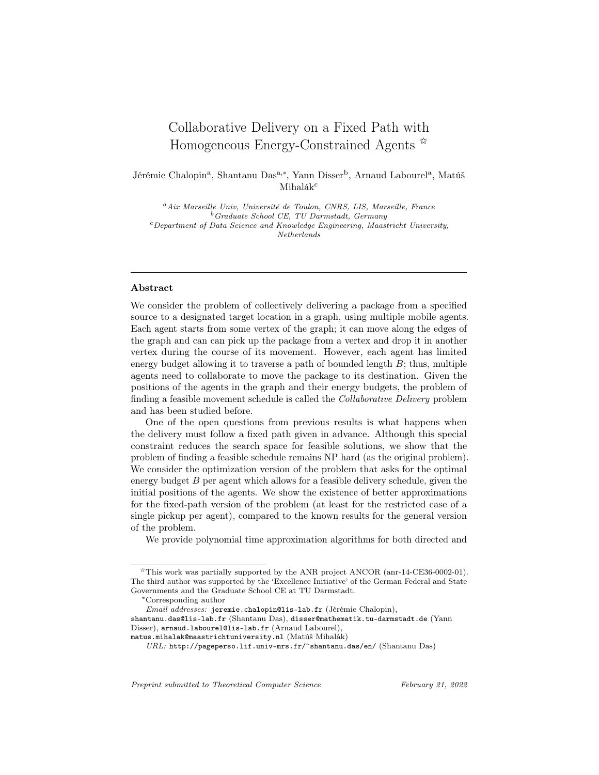# Collaborative Delivery on a Fixed Path with Homogeneous Energy-Constrained Agents <sup>☆</sup>

Jérémie Chalopin<sup>a</sup>, Shantanu Das<sup>a,\*</sup>, Yann Disser<sup>b</sup>, Arnaud Labourel<sup>a</sup>, Matúš Mihalák<sup>c</sup>

<sup>a</sup>Aix Marseille Univ, Université de Toulon, CNRS, LIS, Marseille, France <sup>b</sup>Graduate School CE, TU Darmstadt, Germany  $c$ Department of Data Science and Knowledge Engineering, Maastricht University, Netherlands

## Abstract

We consider the problem of collectively delivering a package from a specified source to a designated target location in a graph, using multiple mobile agents. Each agent starts from some vertex of the graph; it can move along the edges of the graph and can can pick up the package from a vertex and drop it in another vertex during the course of its movement. However, each agent has limited energy budget allowing it to traverse a path of bounded length  $B$ ; thus, multiple agents need to collaborate to move the package to its destination. Given the positions of the agents in the graph and their energy budgets, the problem of finding a feasible movement schedule is called the Collaborative Delivery problem and has been studied before.

One of the open questions from previous results is what happens when the delivery must follow a fixed path given in advance. Although this special constraint reduces the search space for feasible solutions, we show that the problem of finding a feasible schedule remains NP hard (as the original problem). We consider the optimization version of the problem that asks for the optimal energy budget  $B$  per agent which allows for a feasible delivery schedule, given the initial positions of the agents. We show the existence of better approximations for the fixed-path version of the problem (at least for the restricted case of a single pickup per agent), compared to the known results for the general version of the problem.

We provide polynomial time approximation algorithms for both directed and

Preprint submitted to Theoretical Computer Science February 21, 2022

 $\hat{\tau}$ This work was partially supported by the ANR project ANCOR (anr-14-CE36-0002-01). The third author was supported by the 'Excellence Initiative' of the German Federal and State Governments and the Graduate School CE at TU Darmstadt.

<sup>∗</sup>Corresponding author

Email addresses: jeremie.chalopin@lis-lab.fr (Jérémie Chalopin),

shantanu.das@lis-lab.fr (Shantanu Das), disser@mathematik.tu-darmstadt.de (Yann Disser), arnaud.labourel@lis-lab.fr (Arnaud Labourel), matus.mihalak@maastrichtuniversity.nl (Matúš Mihalák)

URL: http://pageperso.lif.univ-mrs.fr/~shantanu.das/en/ (Shantanu Das)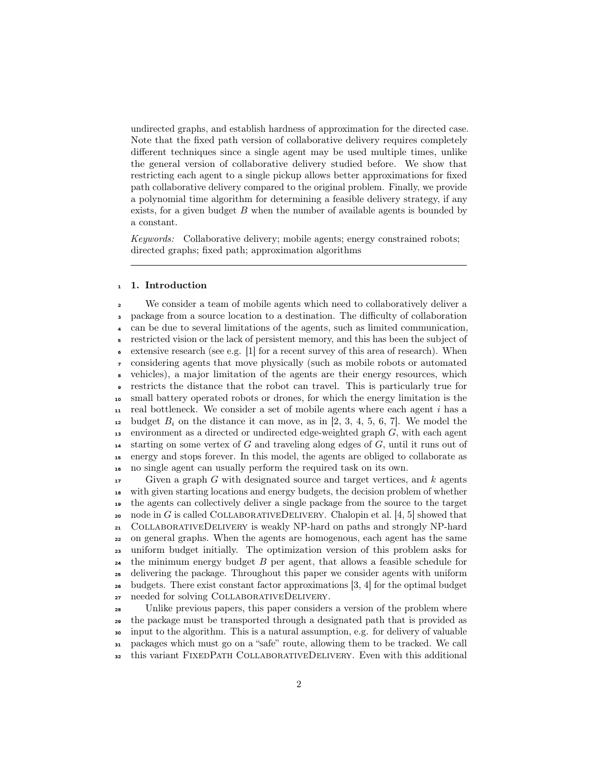undirected graphs, and establish hardness of approximation for the directed case. Note that the fixed path version of collaborative delivery requires completely different techniques since a single agent may be used multiple times, unlike the general version of collaborative delivery studied before. We show that restricting each agent to a single pickup allows better approximations for fixed path collaborative delivery compared to the original problem. Finally, we provide a polynomial time algorithm for determining a feasible delivery strategy, if any exists, for a given budget  $B$  when the number of available agents is bounded by a constant.

Keywords: Collaborative delivery; mobile agents; energy constrained robots; directed graphs; fixed path; approximation algorithms

## 1. Introduction

<sup>2</sup> We consider a team of mobile agents which need to collaboratively deliver a <sup>3</sup> package from a source location to a destination. The difficulty of collaboration <sup>4</sup> can be due to several limitations of the agents, such as limited communication, <sup>5</sup> restricted vision or the lack of persistent memory, and this has been the subject of Extensive research (see e.g.  $[1]$  for a recent survey of this area of research). When <sup>7</sup> considering agents that move physically (such as mobile robots or automated <sup>8</sup> vehicles), a major limitation of the agents are their energy resources, which restricts the distance that the robot can travel. This is particularly true for <sup>10</sup> small battery operated robots or drones, for which the energy limitation is the  $\mu$  real bottleneck. We consider a set of mobile agents where each agent i has a 12 budget  $B_i$  on the distance it can move, as in [2, 3, 4, 5, 6, 7]. We model the 13 environment as a directed or undirected edge-weighted graph  $G$ , with each agent  $\mathbf{14}$  starting on some vertex of G and traveling along edges of G, until it runs out of <sup>15</sup> energy and stops forever. In this model, the agents are obliged to collaborate as <sup>16</sup> no single agent can usually perform the required task on its own.

 $\mathbf{q}$  Given a graph G with designated source and target vertices, and k agents with given starting locations and energy budgets, the decision problem of whether the agents can collectively deliver a single package from the source to the target 20 node in G is called COLLABORATIVEDELIVERY. Chalopin et al.  $[4, 5]$  showed that CollaborativeDelivery is weakly NP-hard on paths and strongly NP-hard on general graphs. When the agents are homogenous, each agent has the same uniform budget initially. The optimization version of this problem asks for the minimum energy budget B per agent, that allows a feasible schedule for delivering the package. Throughout this paper we consider agents with uniform budgets. There exist constant factor approximations [3, 4] for the optimal budget needed for solving CollaborativeDelivery.

 Unlike previous papers, this paper considers a version of the problem where the package must be transported through a designated path that is provided as input to the algorithm. This is a natural assumption, e.g. for delivery of valuable packages which must go on a "safe" route, allowing them to be tracked. We call <sup>32</sup> this variant FIXEDPATH COLLABORATIVEDELIVERY. Even with this additional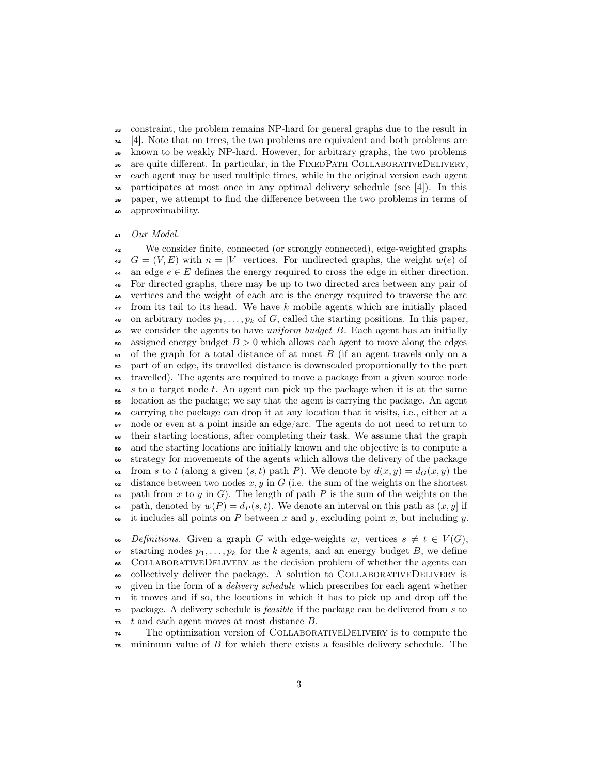constraint, the problem remains NP-hard for general graphs due to the result in [4]. Note that on trees, the two problems are equivalent and both problems are known to be weakly NP-hard. However, for arbitrary graphs, the two problems <sup>36</sup> are quite different. In particular, in the FIXEDPATH COLLABORATIVEDELIVERY, each agent may be used multiple times, while in the original version each agent participates at most once in any optimal delivery schedule (see [4]). In this paper, we attempt to find the difference between the two problems in terms of approximability.

#### $41$  Our Model.

<sup>42</sup> We consider finite, connected (or strongly connected), edge-weighted graphs 43  $G = (V, E)$  with  $n = |V|$  vertices. For undirected graphs, the weight  $w(e)$  of an edge  $e \in E$  defines the energy required to cross the edge in either direction. <sup>45</sup> For directed graphs, there may be up to two directed arcs between any pair of <sup>46</sup> vertices and the weight of each arc is the energy required to traverse the arc  $\bullet$  from its tail to its head. We have k mobile agents which are initially placed 48 on arbitrary nodes  $p_1, \ldots, p_k$  of G, called the starting positions. In this paper, we consider the agents to have *uniform budget B*. Each agent has an initially  $\frac{1}{50}$  assigned energy budget  $B > 0$  which allows each agent to move along the edges  $\mathfrak{so}$  of the graph for a total distance of at most B (if an agent travels only on a <sup>52</sup> part of an edge, its travelled distance is downscaled proportionally to the part <sup>53</sup> travelled). The agents are required to move a package from a given source node  $54 \text{ s}$  to a target node t. An agent can pick up the package when it is at the same <sup>55</sup> location as the package; we say that the agent is carrying the package. An agent <sup>56</sup> carrying the package can drop it at any location that it visits, i.e., either at a <sup>57</sup> node or even at a point inside an edge/arc. The agents do not need to return to <sup>58</sup> their starting locations, after completing their task. We assume that the graph <sup>59</sup> and the starting locations are initially known and the objective is to compute a <sup>60</sup> strategy for movements of the agents which allows the delivery of the package 61 from s to t (along a given  $(s, t)$  path P). We denote by  $d(x, y) = d_G(x, y)$  the 62 distance between two nodes  $x, y$  in G (i.e. the sum of the weights on the shortest 63 path from x to y in G). The length of path P is the sum of the weights on the 64 path, denoted by  $w(P) = d_P(s, t)$ . We denote an interval on this path as  $(x, y)$  if  $\bullet$  it includes all points on P between x and y, excluding point x, but including y.

66 Definitions. Given a graph G with edge-weights w, vertices  $s \neq t \in V(G)$ ,  $\bullet \bullet \bullet$  starting nodes  $p_1, \ldots, p_k$  for the k agents, and an energy budget B, we define <sup>68</sup> CollaborativeDelivery as the decision problem of whether the agents can <sup>69</sup> collectively deliver the package. A solution to CollaborativeDelivery is <sup>70</sup> given in the form of a delivery schedule which prescribes for each agent whether  $\tau_1$  it moves and if so, the locations in which it has to pick up and drop off the <sup>72</sup> package. A delivery schedule is feasible if the package can be delivered from s to  $\tau_3$  t and each agent moves at most distance B.

<sup>74</sup> The optimization version of CollaborativeDelivery is to compute the  $\tau$ <sub>5</sub> minimum value of B for which there exists a feasible delivery schedule. The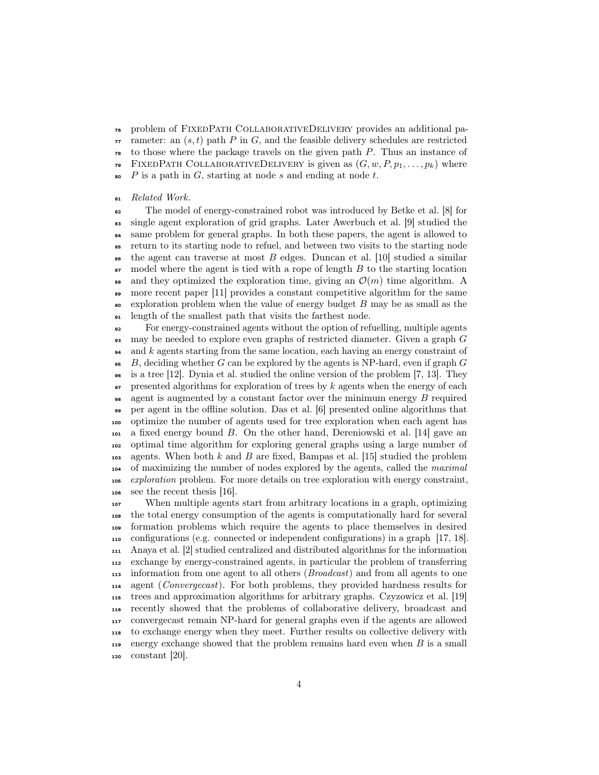problem of FixedPath CollaborativeDelivery provides an additional pa- $\tau$  rameter: an  $(s, t)$  path P in G, and the feasible delivery schedules are restricted  $\tau_{\rm}$  to those where the package travels on the given path P. Thus an instance of **FIXEDPATH COLLABORATIVEDELIVERY** is given as  $(G, w, P, p_1, \ldots, p_k)$  where  $\bullet$  P is a path in G, starting at node s and ending at node t.

## Related Work.

 The model of energy-constrained robot was introduced by Betke et al. [8] for single agent exploration of grid graphs. Later Awerbuch et al. [9] studied the same problem for general graphs. In both these papers, the agent is allowed to return to its starting node to refuel, and between two visits to the starting node  $\bullet$  the agent can traverse at most B edges. Duncan et al. [10] studied a similar  $\bullet\bullet$  model where the agent is tied with a rope of length B to the starting location <sup>88</sup> and they optimized the exploration time, giving an  $\mathcal{O}(m)$  time algorithm. A more recent paper [11] provides a constant competitive algorithm for the same exploration problem when the value of energy budget B may be as small as the length of the smallest path that visits the farthest node.

 For energy-constrained agents without the option of refuelling, multiple agents  $\bullet$ <sup>3</sup> may be needed to explore even graphs of restricted diameter. Given a graph  $G$ and k agents starting from the same location, each having an energy constraint of  $\bullet$  B, deciding whether G can be explored by the agents is NP-hard, even if graph G is a tree [12]. Dynia et al. studied the online version of the problem [7, 13]. They presented algorithms for exploration of trees by  $k$  agents when the energy of each **98** agent is augmented by a constant factor over the minimum energy  $B$  required per agent in the offline solution. Das et al. [6] presented online algorithms that optimize the number of agents used for tree exploration when each agent has  $\overline{101}$  a fixed energy bound B. On the other hand, Dereniowski et al. [14] gave an optimal time algorithm for exploring general graphs using a large number of 103 agents. When both k and B are fixed, Bampas et al. [15] studied the problem of maximizing the number of nodes explored by the agents, called the maximal exploration problem. For more details on tree exploration with energy constraint, see the recent thesis [16].

 When multiple agents start from arbitrary locations in a graph, optimizing the total energy consumption of the agents is computationally hard for several formation problems which require the agents to place themselves in desired configurations (e.g. connected or independent configurations) in a graph [17, 18]. Anaya et al. [2] studied centralized and distributed algorithms for the information exchange by energy-constrained agents, in particular the problem of transferring information from one agent to all others (Broadcast) and from all agents to one agent (Convergecast). For both problems, they provided hardness results for trees and approximation algorithms for arbitrary graphs. Czyzowicz et al. [19] recently showed that the problems of collaborative delivery, broadcast and convergecast remain NP-hard for general graphs even if the agents are allowed to exchange energy when they meet. Further results on collective delivery with 119 energy exchange showed that the problem remains hard even when  $B$  is a small constant [20].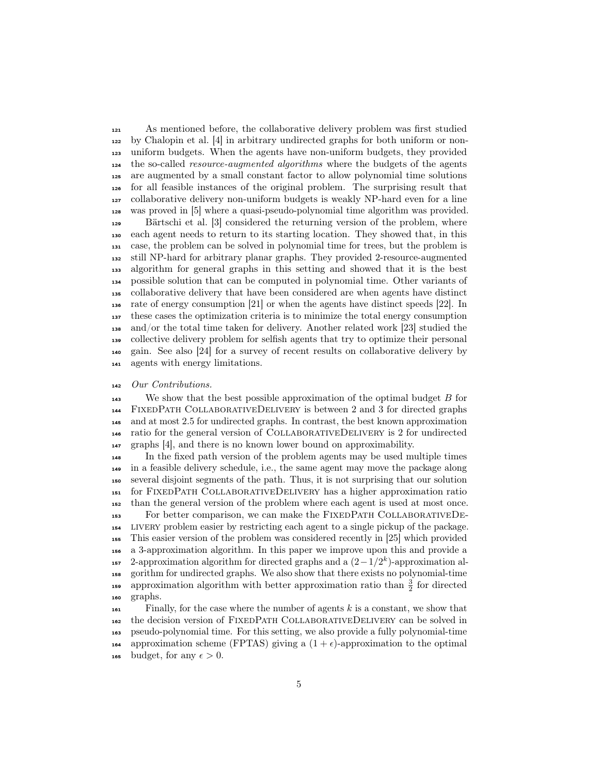As mentioned before, the collaborative delivery problem was first studied by Chalopin et al. [4] in arbitrary undirected graphs for both uniform or non- uniform budgets. When the agents have non-uniform budgets, they provided <sub>124</sub> the so-called *resource-augmented algorithms* where the budgets of the agents are augmented by a small constant factor to allow polynomial time solutions for all feasible instances of the original problem. The surprising result that collaborative delivery non-uniform budgets is weakly NP-hard even for a line was proved in [5] where a quasi-pseudo-polynomial time algorithm was provided.

 Bärtschi et al. [3] considered the returning version of the problem, where each agent needs to return to its starting location. They showed that, in this case, the problem can be solved in polynomial time for trees, but the problem is still NP-hard for arbitrary planar graphs. They provided 2-resource-augmented algorithm for general graphs in this setting and showed that it is the best possible solution that can be computed in polynomial time. Other variants of collaborative delivery that have been considered are when agents have distinct rate of energy consumption [21] or when the agents have distinct speeds [22]. In these cases the optimization criteria is to minimize the total energy consumption and/or the total time taken for delivery. Another related work [23] studied the collective delivery problem for selfish agents that try to optimize their personal gain. See also [24] for a survey of recent results on collaborative delivery by agents with energy limitations.

#### Our Contributions.

<sup>143</sup> We show that the best possible approximation of the optimal budget B for FixedPath CollaborativeDelivery is between 2 and 3 for directed graphs and at most 2.5 for undirected graphs. In contrast, the best known approximation ratio for the general version of CollaborativeDelivery is 2 for undirected graphs [4], and there is no known lower bound on approximability.

 In the fixed path version of the problem agents may be used multiple times in a feasible delivery schedule, i.e., the same agent may move the package along several disjoint segments of the path. Thus, it is not surprising that our solution for FixedPath CollaborativeDelivery has a higher approximation ratio than the general version of the problem where each agent is used at most once. 153 For better comparison, we can make the FIXEDPATH COLLABORATIVEDE- livery problem easier by restricting each agent to a single pickup of the package. This easier version of the problem was considered recently in [25] which provided a 3-approximation algorithm. In this paper we improve upon this and provide a 157 2-approximation algorithm for directed graphs and a  $(2-1/2<sup>k</sup>)$ -approximation al- gorithm for undirected graphs. We also show that there exists no polynomial-time approximation algorithm with better approximation ratio than  $\frac{3}{2}$  for directed graphs.

 Finally, for the case where the number of agents k is a constant, we show that the decision version of FixedPath CollaborativeDelivery can be solved in pseudo-polynomial time. For this setting, we also provide a fully polynomial-time 164 approximation scheme (FPTAS) giving a  $(1 + \epsilon)$ -approximation to the optimal 165 budget, for any  $\epsilon > 0$ .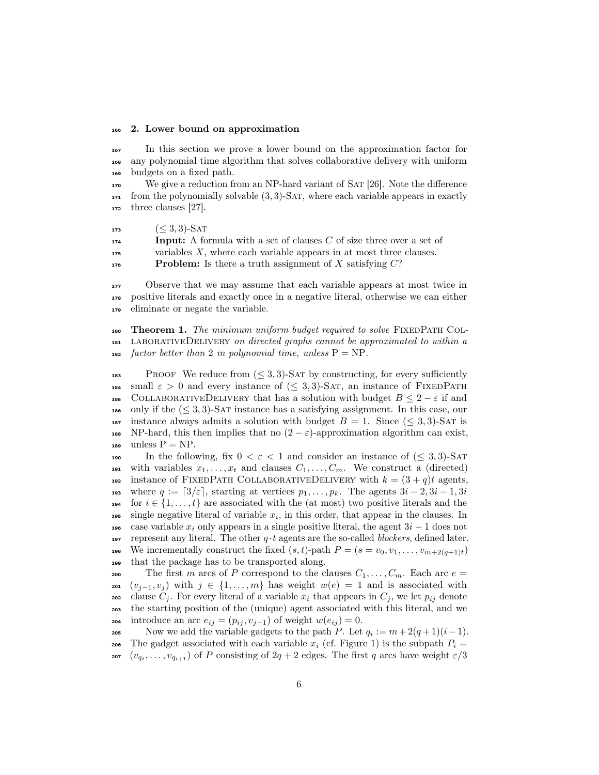#### <sup>166</sup> 2. Lower bound on approximation

<sup>167</sup> In this section we prove a lower bound on the approximation factor for <sup>168</sup> any polynomial time algorithm that solves collaborative delivery with uniform <sup>169</sup> budgets on a fixed path.

<sup>170</sup> We give a reduction from an NP-hard variant of Sat [26]. Note the difference  $171$  from the polynomially solvable  $(3, 3)$ -SAT, where each variable appears in exactly <sup>172</sup> three clauses [27].

173  $(< 3, 3)$ -SAT

<sup>174</sup> Input: A formula with a set of clauses C of size three over a set of  $175$  variables X, where each variable appears in at most three clauses. 176 Problem: Is there a truth assignment of X satisfying  $C$ ?

<sup>177</sup> Observe that we may assume that each variable appears at most twice in <sup>178</sup> positive literals and exactly once in a negative literal, otherwise we can either <sup>179</sup> eliminate or negate the variable.

180 Theorem 1. The minimum uniform budget required to solve  $\text{FIXEDPATH}$  COL-<sup>181</sup> laborativeDelivery on directed graphs cannot be approximated to within a 182 factor better than 2 in polynomial time, unless  $P = NP$ .

183 PROOF We reduce from  $(< 3.3$ )-SAT by constructing, for every sufficiently 184 small  $\varepsilon > 0$  and every instance of  $(\leq 3, 3)$ -SAT, an instance of FIXEDPATH 185 COLLABORATIVEDELIVERY that has a solution with budget  $B \leq 2 - \varepsilon$  if and 186 only if the  $(\leq 3, 3)$ -SAT instance has a satisfying assignment. In this case, our 187 instance always admits a solution with budget  $B = 1$ . Since  $( $3, 3$ )-SAT is$ 188 NP-hard, this then implies that no  $(2 - \varepsilon)$ -approximation algorithm can exist, 189 unless  $P = NP$ .

190 In the following, fix  $0 < \varepsilon < 1$  and consider an instance of  $(\leq 3, 3)$ -SAT 191 with variables  $x_1, \ldots, x_t$  and clauses  $C_1, \ldots, C_m$ . We construct a (directed) 192 instance of FIXEDPATH COLLABORATIVEDELIVERY with  $k = (3 + q)t$  agents, 193 where  $q := \lceil 3/\varepsilon \rceil$ , starting at vertices  $p_1, \ldots, p_k$ . The agents  $3i - 2, 3i - 1, 3i$ 194 for  $i \in \{1, \ldots, t\}$  are associated with the (at most) two positive literals and the is single negative literal of variable  $x_i$ , in this order, that appear in the clauses. In 196 case variable  $x_i$  only appears in a single positive literal, the agent  $3i - 1$  does not 197 represent any literal. The other  $q \cdot t$  agents are the so-called *blockers*, defined later. 198 We incrementally construct the fixed  $(s, t)$ -path  $P = (s = v_0, v_1, \ldots, v_{m+2(q+1)t})$ <sup>199</sup> that the package has to be transported along.

200 The first m arcs of P correspond to the clauses  $C_1, \ldots, C_m$ . Each arc  $e =$ <sup>201</sup> ( $v_{i-1}, v_i$ ) with  $j \in \{1, ..., m\}$  has weight  $w(e) = 1$  and is associated with 202 clause  $C_j$ . For every literal of a variable  $x_i$  that appears in  $C_j$ , we let  $p_{ij}$  denote <sup>203</sup> the starting position of the (unique) agent associated with this literal, and we 204 introduce an arc  $e_{ij} = (p_{ij}, v_{j-1})$  of weight  $w(e_{ij}) = 0$ .

Now we add the variable gadgets to the path P. Let  $q_i := m + 2(q+1)(i-1)$ . 206 The gadget associated with each variable  $x_i$  (cf. Figure 1) is the subpath  $P_i =$ 207  $(v_{q_i}, \ldots, v_{q_{i+1}})$  of P consisting of  $2q + 2$  edges. The first q arcs have weight  $\varepsilon/3$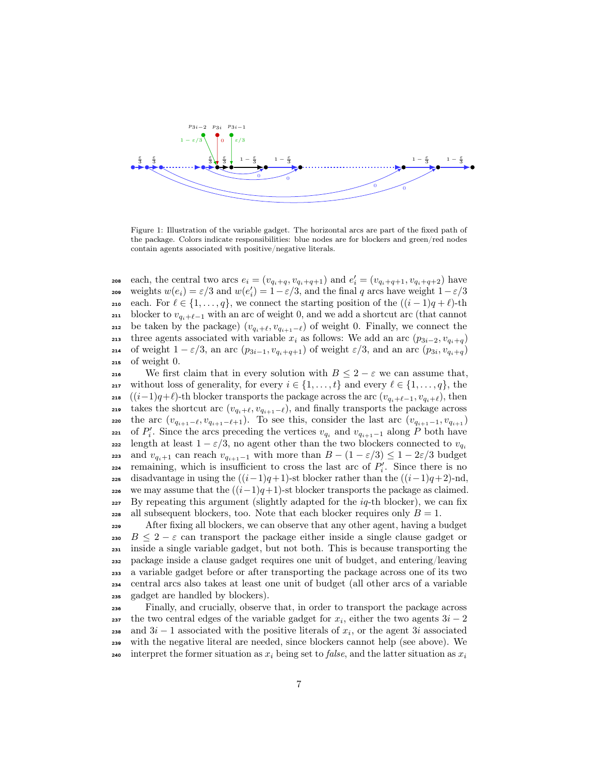

Figure 1: Illustration of the variable gadget. The horizontal arcs are part of the fixed path of the package. Colors indicate responsibilities: blue nodes are for blockers and green/red nodes contain agents associated with positive/negative literals.

208 each, the central two arcs  $e_i = (v_{q_i+q}, v_{q_i+q+1})$  and  $e'_i = (v_{q_i+q+1}, v_{q_i+q+2})$  have 209 weights  $w(e_i) = \varepsilon/3$  and  $w(e'_i) = 1 - \varepsilon/3$ , and the final q arcs have weight  $1 - \varepsilon/3$ 210 each. For  $\ell \in \{1, \ldots, q\}$ , we connect the starting position of the  $((i - 1)q + \ell)$ -th 211 blocker to  $v_{q_i+\ell-1}$  with an arc of weight 0, and we add a shortcut arc (that cannot 212 be taken by the package)  $(v_{q_i+\ell}, v_{q_{i+1}-\ell})$  of weight 0. Finally, we connect the 213 three agents associated with variable  $x_i$  as follows: We add an arc  $(p_{3i-2}, v_{q_i+q})$ 214 of weight  $1 - \varepsilon/3$ , an arc  $(p_{3i-1}, v_{q_i+q+1})$  of weight  $\varepsilon/3$ , and an arc  $(p_{3i}, v_{q_i+q})$  $215$  of weight 0.

216 We first claim that in every solution with  $B \leq 2 - \varepsilon$  we can assume that, 217 without loss of generality, for every  $i \in \{1, \ldots, t\}$  and every  $\ell \in \{1, \ldots, q\}$ , the 218 ((i−1)q+ $\ell$ )-th blocker transports the package across the arc  $(v_{q_i+\ell-1}, v_{q_i+\ell}),$  then takes the shortcut arc  $(v_{q_i+\ell}, v_{q_{i+1}-\ell})$ , and finally transports the package across the arc  $(v_{q_{i+1}-\ell}, v_{q_{i+1}-\ell+1})$ . To see this, consider the last arc  $(v_{q_{i+1}-1}, v_{q_{i+1}})$ 221 of  $P_i'$ . Since the arcs preceding the vertices  $v_{q_i}$  and  $v_{q_{i+1}-1}$  along P both have length at least  $1 - \varepsilon/3$ , no agent other than the two blockers connected to  $v_{q_i}$ 222 223 and  $v_{q_i+1}$  can reach  $v_{q_{i+1}-1}$  with more than  $B - (1 - \varepsilon/3) \leq 1 - 2\varepsilon/3$  budget  $\sum_{i=1}^{\infty}$  remaining, which is insufficient to cross the last arc of  $P'_i$ . Since there is no 225 disadvantage in using the  $((i-1)q+1)$ -st blocker rather than the  $((i-1)q+2)$ -nd, 226 we may assume that the  $((i-1)q+1)$ -st blocker transports the package as claimed.  $227$  By repeating this argument (slightly adapted for the  $iq$ -th blocker), we can fix 228 all subsequent blockers, too. Note that each blocker requires only  $B = 1$ .

 After fixing all blockers, we can observe that any other agent, having a budget  $B \leq 2 - \varepsilon$  can transport the package either inside a single clause gadget or inside a single variable gadget, but not both. This is because transporting the package inside a clause gadget requires one unit of budget, and entering/leaving a variable gadget before or after transporting the package across one of its two central arcs also takes at least one unit of budget (all other arcs of a variable gadget are handled by blockers).

<sup>236</sup> Finally, and crucially, observe that, in order to transport the package across the two central edges of the variable gadget for  $x_i$ , either the two agents  $3i - 2$ and  $3i - 1$  associated with the positive literals of  $x_i$ , or the agent 3i associated <sup>239</sup> with the negative literal are needed, since blockers cannot help (see above). We interpret the former situation as  $x_i$  being set to *false*, and the latter situation as  $x_i$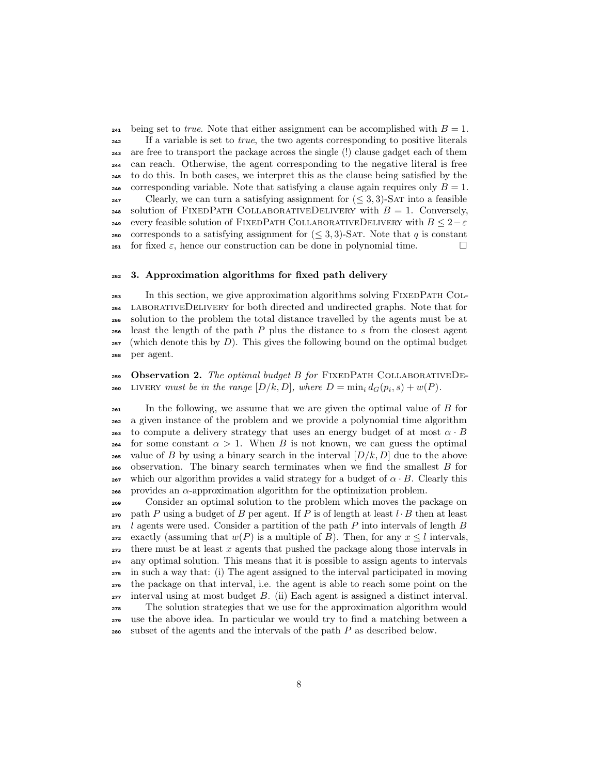$_{241}$  being set to *true*. Note that either assignment can be accomplished with  $B = 1$ . <sup>242</sup> If a variable is set to *true*, the two agents corresponding to positive literals <sup>243</sup> are free to transport the package across the single (!) clause gadget each of them <sup>244</sup> can reach. Otherwise, the agent corresponding to the negative literal is free <sup>245</sup> to do this. In both cases, we interpret this as the clause being satisfied by the corresponding variable. Note that satisfying a clause again requires only  $B = 1$ . 247 Clearly, we can turn a satisfying assignment for  $(\leq 3, 3)$ -SAT into a feasible 248 solution of FIXEDPATH COLLABORATIVEDELIVERY with  $B = 1$ . Conversely, every feasible solution of FIXEDPATH COLLABORATIVEDELIVERY with  $B \leq 2-\varepsilon$ 250 corresponds to a satisfying assignment for  $(\leq 3, 3)$ -SAT. Note that q is constant **251** for fixed  $\varepsilon$ , hence our construction can be done in polynomial time.

## <sup>252</sup> 3. Approximation algorithms for fixed path delivery

<sup>253</sup> In this section, we give approximation algorithms solving FIXEDPATH COL- laborativeDelivery for both directed and undirected graphs. Note that for solution to the problem the total distance travelled by the agents must be at least the length of the path P plus the distance to s from the closest agent (which denote this by  $D$ ). This gives the following bound on the optimal budget per agent.

259 Observation 2. The optimal budget  $B$  for FIXEDPATH COLLABORATIVEDE-**260** LIVERY must be in the range  $[D/k, D]$ , where  $D = \min_i d_G(p_i, s) + w(P)$ .

<sup>261</sup> In the following, we assume that we are given the optimal value of B for <sup>262</sup> a given instance of the problem and we provide a polynomial time algorithm 263 to compute a delivery strategy that uses an energy budget of at most  $\alpha \cdot B$ <sup>264</sup> for some constant  $\alpha > 1$ . When B is not known, we can guess the optimal <sup>265</sup> value of B by using a binary search in the interval  $[D/k, D]$  due to the above <sup>266</sup> observation. The binary search terminates when we find the smallest B for 267 which our algorithm provides a valid strategy for a budget of  $\alpha \cdot B$ . Clearly this  $\epsilon_{\text{268}}$  provides an  $\alpha$ -approximation algorithm for the optimization problem.

 Consider an optimal solution to the problem which moves the package on <sub>270</sub> path P using a budget of B per agent. If P is of length at least  $l \cdot B$  then at least  $\mu$ <sub>271</sub> l agents were used. Consider a partition of the path P into intervals of length B 272 exactly (assuming that  $w(P)$  is a multiple of B). Then, for any  $x \leq l$  intervals, there must be at least x agents that pushed the package along those intervals in any optimal solution. This means that it is possible to assign agents to intervals in such a way that: (i) The agent assigned to the interval participated in moving the package on that interval, i.e. the agent is able to reach some point on the interval using at most budget B. (ii) Each agent is assigned a distinct interval.

<sup>278</sup> The solution strategies that we use for the approximation algorithm would <sup>279</sup> use the above idea. In particular we would try to find a matching between a  $280$  subset of the agents and the intervals of the path  $P$  as described below.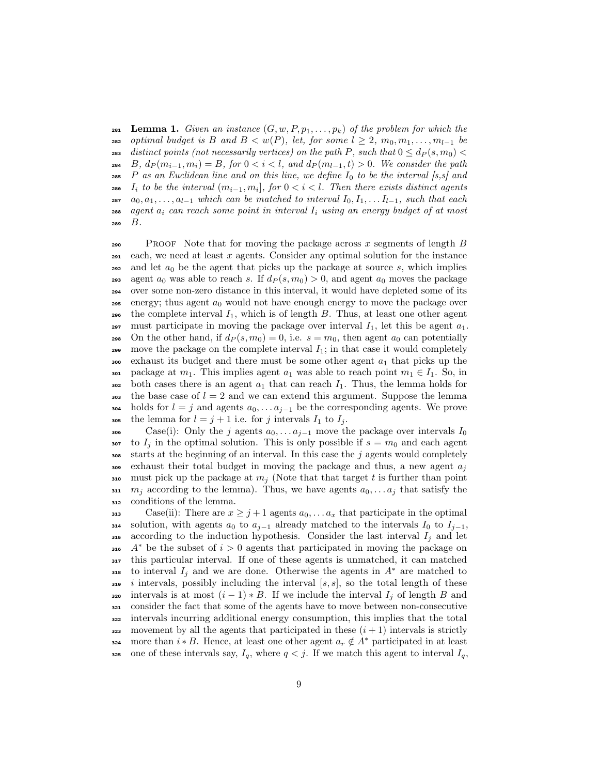**281** Lemma 1. Given an instance  $(G, w, P, p_1, \ldots, p_k)$  of the problem for which the 282 optimal budget is B and  $B < w(P)$ , let, for some  $l \geq 2$ ,  $m_0, m_1, \ldots, m_{l-1}$  be 283 distinct points (not necessarily vertices) on the path P, such that  $0 \le d_P(s, m_0)$ 284 B,  $d_P(m_{i-1}, m_i) = B$ , for  $0 < i < l$ , and  $d_P(m_{l-1}, t) > 0$ . We consider the path 285 P as an Euclidean line and on this line, we define  $I_0$  to be the interval [s,s] and **286**  $I_i$  to be the interval  $(m_{i-1}, m_i]$ , for  $0 < i < l$ . Then there exists distinct agents 287  $a_0, a_1, \ldots, a_{l-1}$  which can be matched to interval  $I_0, I_1, \ldots, I_{l-1}$ , such that each 288 agent  $a_i$  can reach some point in interval  $I_i$  using an energy budget of at most 289  $B$ .

**PROOF** Note that for moving the package across x segments of length  $B$  $291$  each, we need at least x agents. Consider any optimal solution for the instance 292 and let  $a_0$  be the agent that picks up the package at source s, which implies 293 agent  $a_0$  was able to reach s. If  $d_P(s, m_0) > 0$ , and agent  $a_0$  moves the package <sup>294</sup> over some non-zero distance in this interval, it would have depleted some of its 295 energy; thus agent  $a_0$  would not have enough energy to move the package over 296 the complete interval  $I_1$ , which is of length B. Thus, at least one other agent 297 must participate in moving the package over interval  $I_1$ , let this be agent  $a_1$ . 298 On the other hand, if  $d_P(s, m_0) = 0$ , i.e.  $s = m_0$ , then agent  $a_0$  can potentially 299 move the package on the complete interval  $I_1$ ; in that case it would completely  $\frac{1}{200}$  exhaust its budget and there must be some other agent  $a_1$  that picks up the 301 package at  $m_1$ . This implies agent  $a_1$  was able to reach point  $m_1 \in I_1$ . So, in  $302$  both cases there is an agent  $a_1$  that can reach  $I_1$ . Thus, the lemma holds for  $\frac{303}{100}$  the base case of  $l = 2$  and we can extend this argument. Suppose the lemma <sup>304</sup> holds for  $l = j$  and agents  $a_0, \ldots a_{j-1}$  be the corresponding agents. We prove 305 the lemma for  $l = j + 1$  i.e. for j intervals  $I_1$  to  $I_j$ .

306 Case(i): Only the j agents  $a_0, \ldots, a_{j-1}$  move the package over intervals  $I_0$  $\frac{1}{307}$  to  $I_j$  in the optimal solution. This is only possible if  $s = m_0$  and each agent  $\frac{1}{308}$  starts at the beginning of an interval. In this case the j agents would completely  $\frac{1}{309}$  exhaust their total budget in moving the package and thus, a new agent  $a_i$ 310 must pick up the package at  $m_i$  (Note that that target t is further than point 311  $m_i$  according to the lemma). Thus, we have agents  $a_0, \ldots a_j$  that satisfy the <sup>312</sup> conditions of the lemma.

313 Case(ii): There are  $x \geq j+1$  agents  $a_0, \ldots a_x$  that participate in the optimal 314 solution, with agents  $a_0$  to  $a_{j-1}$  already matched to the intervals  $I_0$  to  $I_{j-1}$ , 315 according to the induction hypothesis. Consider the last interval  $I_j$  and let 316  $A^*$  be the subset of  $i > 0$  agents that participated in moving the package on <sup>317</sup> this particular interval. If one of these agents is unmatched, it can matched 318 to interval  $I_j$  and we are done. Otherwise the agents in  $A^*$  are matched to  $\mathbf{i}$  intervals, possibly including the interval [s, s], so the total length of these 320 intervals is at most  $(i - 1) * B$ . If we include the interval  $I_j$  of length B and <sup>321</sup> consider the fact that some of the agents have to move between non-consecutive <sup>322</sup> intervals incurring additional energy consumption, this implies that the total 323 movement by all the agents that participated in these  $(i + 1)$  intervals is strictly 324 more than  $i * B$ . Hence, at least one other agent  $a_r \notin A^*$  participated in at least 325 one of these intervals say,  $I_q$ , where  $q < j$ . If we match this agent to interval  $I_q$ ,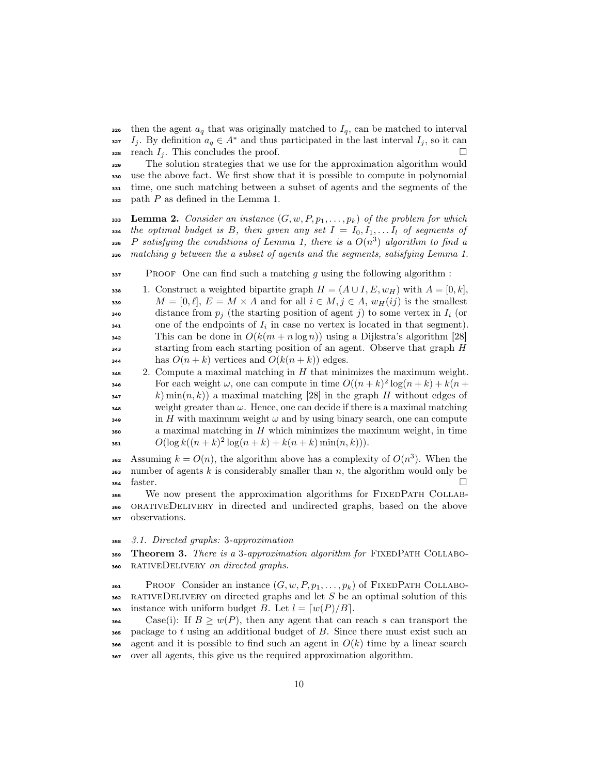326 then the agent  $a_q$  that was originally matched to  $I_q$ , can be matched to interval <sup>327</sup>  $I_j$ . By definition  $a_q \in A^*$  and thus participated in the last interval  $I_j$ , so it can **328** reach  $I_j$ . This concludes the proof.

 The solution strategies that we use for the approximation algorithm would use the above fact. We first show that it is possible to compute in polynomial time, one such matching between a subset of agents and the segments of the  $_{332}$  path  $P$  as defined in the Lemma 1.

**333** Lemma 2. Consider an instance  $(G, w, P, p_1, \ldots, p_k)$  of the problem for which 334 the optimal budget is B, then given any set  $I = I_0, I_1, \ldots I_l$  of segments of 335 P satisfying the conditions of Lemma 1, there is a  $O(n^3)$  algorithm to find a <sup>336</sup> matching g between the a subset of agents and the segments, satisfying Lemma 1.

 $337$  PROOF One can find such a matching g using the following algorithm :

338 1. Construct a weighted bipartite graph  $H = (A \cup I, E, w_H)$  with  $A = [0, k]$ , 339  $M = [0, \ell], E = M \times A$  and for all  $i \in M, j \in A$ ,  $w_H(ij)$  is the smallest distance from  $p_i$  (the starting position of agent j) to some vertex in  $I_i$  (or  $\mathbf{a}_{41}$  one of the endpoints of  $I_i$  in case no vertex is located in that segment). <sup>342</sup> This can be done in  $O(k(m + n \log n))$  using a Dijkstra's algorithm [28] <sup>343</sup> starting from each starting position of an agent. Observe that graph H has  $O(n + k)$  vertices and  $O(k(n + k))$  edges.

 $\frac{345}{245}$  2. Compute a maximal matching in H that minimizes the maximum weight. For each weight  $\omega$ , one can compute in time  $O((n+k)^2 \log(n+k) + k(n+k))$  $\mathbf{a}$  k) min $(n, k)$  a maximal matching [28] in the graph H without edges of  $\frac{348}{100}$  weight greater than  $\omega$ . Hence, one can decide if there is a maximal matching  $\mathbf{349}$  in H with maximum weight  $\omega$  and by using binary search, one can compute  $\frac{350}{2}$  a maximal matching in H which minimizes the maximum weight, in time 351  $O(\log k((n+k)^2 \log(n+k) + k(n+k) \min(n,k))).$ 

352 Assuming  $k = O(n)$ , the algorithm above has a complexity of  $O(n^3)$ . When the  $\frac{3}{5}$  number of agents k is considerably smaller than n, the algorithm would only be  $\frac{1}{354}$  faster.

<sup>355</sup> We now present the approximation algorithms for FIXEDPATH COLLAB-<sup>356</sup> orativeDelivery in directed and undirected graphs, based on the above <sup>357</sup> observations.

<sup>358</sup> 3.1. Directed graphs: 3-approximation

**359** Theorem 3. There is a 3-approximation algorithm for FIXEDPATH COLLABO-360 RATIVEDELIVERY on directed graphs.

**PROOF** Consider an instance  $(G, w, P, p_1, \ldots, p_k)$  of FIXEDPATH COLLABO- $362$  RATIVEDELIVERY on directed graphs and let S be an optimal solution of this 363 instance with uniform budget B. Let  $l = \lfloor w(P)/B \rfloor$ .

364 Case(i): If  $B > w(P)$ , then any agent that can reach s can transport the  $\frac{1}{2}$  package to t using an additional budget of B. Since there must exist such an 366 agent and it is possible to find such an agent in  $O(k)$  time by a linear search <sup>367</sup> over all agents, this give us the required approximation algorithm.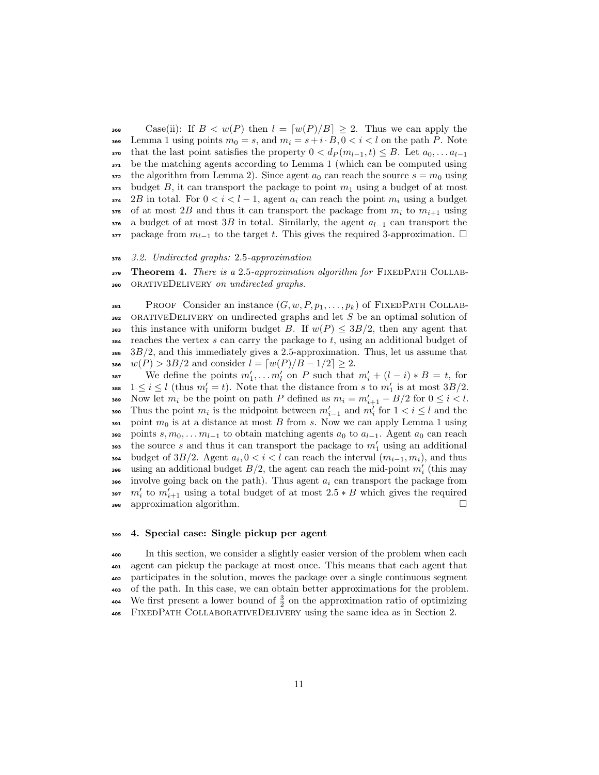368 Case(ii): If  $B < w(P)$  then  $l = \lceil w(P)/B \rceil \geq 2$ . Thus we can apply the **369** Lemma 1 using points  $m_0 = s$ , and  $m_i = s + i \cdot B$ ,  $0 < i < l$  on the path P. Note 370 that the last point satisfies the property  $0 < d_P(m_{l-1}, t) \leq B$ . Let  $a_0, \ldots a_{l-1}$ <sup>371</sup> be the matching agents according to Lemma 1 (which can be computed using  $372$  the algorithm from Lemma 2). Since agent  $a_0$  can reach the source  $s = m_0$  using  $\frac{373}{273}$  budget B, it can transport the package to point  $m_1$  using a budget of at most 374 2B in total. For  $0 < i < l-1$ , agent  $a_i$  can reach the point  $m_i$  using a budget 375 of at most 2B and thus it can transport the package from  $m_i$  to  $m_{i+1}$  using 376 a budget of at most 3B in total. Similarly, the agent  $a_{l-1}$  can transport the 377 package from  $m_{l-1}$  to the target t. This gives the required 3-approximation. □

## <sup>378</sup> 3.2. Undirected graphs: 2.5-approximation

**379** Theorem 4. There is a 2.5-approximation algorithm for FIXEDPATH COLLAB-380 ORATIVEDELIVERY on undirected graphs.

381 PROOF Consider an instance  $(G, w, P, p_1, \ldots, p_k)$  of FIXEDPATH COLLAB- $382$  ORATIVEDELIVERY on undirected graphs and let S be an optimal solution of 383 this instance with uniform budget B. If  $w(P) \leq 3B/2$ , then any agent that  $\mathbf{384}$  reaches the vertex s can carry the package to t, using an additional budget of  $3B/2$ , and this immediately gives a 2.5-approximation. Thus, let us assume that 386  $w(P) > 3B/2$  and consider  $l = [w(P)/B - 1/2] \geq 2$ .

387 We define the points  $m'_1, \ldots, m'_l$  on P such that  $m'_i + (l - i) * B = t$ , for 388  $1 \leq i \leq l$  (thus  $m'_l = t$ ). Note that the distance from s to  $m'_1$  is at most  $3B/2$ . 389 Now let  $m_i$  be the point on path P defined as  $m_i = m'_{i+1} - B/2$  for  $0 \le i < l$ . **390** Thus the point  $m_i$  is the midpoint between  $m'_{i-1}$  and  $m'_i$  for  $1 < i \leq l$  and the 391 point  $m_0$  is at a distance at most B from s. Now we can apply Lemma 1 using 392 points  $s, m_0, \ldots m_{l-1}$  to obtain matching agents  $a_0$  to  $a_{l-1}$ . Agent  $a_0$  can reach the source s and thus it can transport the package to  $m'_1$  using an additional **budget of 3B/2.** Agent  $a_i, 0 < i < l$  can reach the interval  $(m_{i-1}, m_i)$ , and thus <sup>395</sup> using an additional budget  $B/2$ , the agent can reach the mid-point  $m_i'$  (this may  $\frac{1}{396}$  involve going back on the path). Thus agent  $a_i$  can transport the package from 397  $m'_i$  to  $m'_{i+1}$  using a total budget of at most  $2.5 * B$  which gives the required <sup>398</sup> approximation algorithm.

## <sup>399</sup> 4. Special case: Single pickup per agent

 In this section, we consider a slightly easier version of the problem when each agent can pickup the package at most once. This means that each agent that participates in the solution, moves the package over a single continuous segment of the path. In this case, we can obtain better approximations for the problem. 404 We first present a lower bound of  $\frac{3}{2}$  on the approximation ratio of optimizing FixedPath CollaborativeDelivery using the same idea as in Section 2.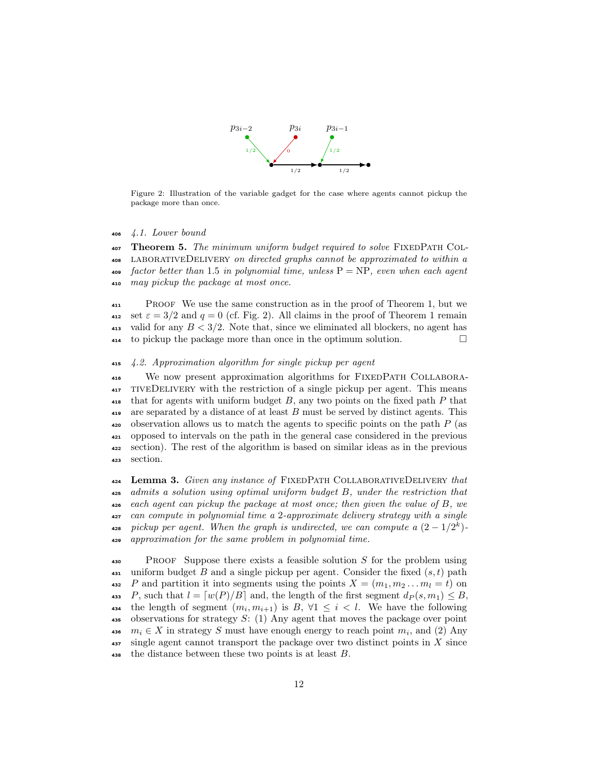

Figure 2: Illustration of the variable gadget for the case where agents cannot pickup the package more than once.

### <sup>406</sup> 4.1. Lower bound

 Theorem 5. The minimum uniform budget required to solve FIXEDPATH COL- laborativeDelivery on directed graphs cannot be approximated to within a  $\alpha_{\text{409}}$  factor better than 1.5 in polynomial time, unless P = NP, even when each agent may pickup the package at most once.

<sup>411</sup> Proof We use the same construction as in the proof of Theorem 1, but we 412 set  $\varepsilon = 3/2$  and  $q = 0$  (cf. Fig. 2). All claims in the proof of Theorem 1 remain 413 valid for any  $B < 3/2$ . Note that, since we eliminated all blockers, no agent has to pickup the package more than once in the optimum solution.  $\square$ 

## <sup>415</sup> 4.2. Approximation algorithm for single pickup per agent

<sup>416</sup> We now present approximation algorithms for FIXEDPATH COLLABORA-<sup>417</sup> tiveDelivery with the restriction of a single pickup per agent. This means 418 that for agents with uniform budget  $B$ , any two points on the fixed path P that are separated by a distance of at least  $B$  must be served by distinct agents. This  $\epsilon_{420}$  observation allows us to match the agents to specific points on the path P (as <sup>421</sup> opposed to intervals on the path in the general case considered in the previous <sup>422</sup> section). The rest of the algorithm is based on similar ideas as in the previous <sup>423</sup> section.

424 Lemma 3. Given any instance of FIXEDPATH COLLABORATIVEDELIVERY that admits a solution using optimal uniform budget B, under the restriction that each agent can pickup the package at most once; then given the value of B, we can compute in polynomial time a 2-approximate delivery strategy with a single 428 pickup per agent. When the graph is undirected, we can compute a  $(2-1/2^k)$ -approximation for the same problem in polynomial time.

<sup>430</sup> Proof Suppose there exists a feasible solution S for the problem using 431 uniform budget B and a single pickup per agent. Consider the fixed  $(s, t)$  path 432 P and partition it into segments using the points  $X = (m_1, m_2, \ldots, m_l = t)$  on 433 P, such that  $l = \lceil w(P)/B \rceil$  and, the length of the first segment  $d_P(s, m_1) \leq B$ , the length of segment  $(m_i, m_{i+1})$  is  $B, \forall 1 \leq i \leq l$ . We have the following 435 observations for strategy  $S: (1)$  Any agent that moves the package over point 436  $m_i \in X$  in strategy S must have enough energy to reach point  $m_i$ , and (2) Any  $\frac{437}{437}$  single agent cannot transport the package over two distinct points in X since  $\frac{438}{438}$  the distance between these two points is at least B.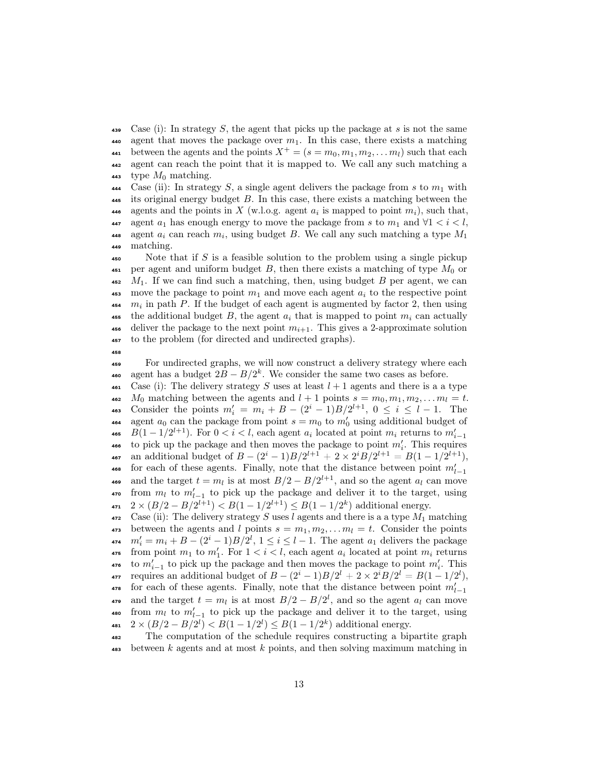Gase (i): In strategy S, the agent that picks up the package at s is not the same agent that moves the package over  $m_1$ . In this case, there exists a matching 441 between the agents and the points  $X^+ = (s = m_0, m_1, m_2, \ldots, m_l)$  such that each <sup>442</sup> agent can reach the point that it is mapped to. We call any such matching a 443 type  $M_0$  matching.

Gase (ii): In strategy S, a single agent delivers the package from s to  $m_1$  with <sup>445</sup> its original energy budget  $B$ . In this case, there exists a matching between the agents and the points in X (w.l.o.g. agent  $a_i$  is mapped to point  $m_i$ ), such that, 447 agent  $a_1$  has enough energy to move the package from s to  $m_1$  and  $\forall 1 \leq i \leq l$ , agent  $a_i$  can reach  $m_i$ , using budget B. We call any such matching a type  $M_1$ <sup>449</sup> matching.

Asso Note that if S is a feasible solution to the problem using a single pickup  $\epsilon_{\text{451}}$  per agent and uniform budget B, then there exists a matching of type  $M_0$  or  $452$   $M_1$ . If we can find such a matching, then, using budget B per agent, we can 453 move the package to point  $m_1$  and move each agent  $a_i$  to the respective point  $m_i$  in path P. If the budget of each agent is augmented by factor 2, then using 455 the additional budget B, the agent  $a_i$  that is mapped to point  $m_i$  can actually 456 deliver the package to the next point  $m_{i+1}$ . This gives a 2-approximate solution <sup>457</sup> to the problem (for directed and undirected graphs).

458

<sup>459</sup> For undirected graphs, we will now construct a delivery strategy where each 460 agent has a budget  $2B - B/2^k$ . We consider the same two cases as before.

461 Case (i): The delivery strategy S uses at least  $l + 1$  agents and there is a a type 462 M<sub>0</sub> matching between the agents and  $l + 1$  points  $s = m_0, m_1, m_2, \ldots, m_l = t$ . 463 Consider the points  $m'_i = m_i + B - (2^i - 1)B/2^{l+1}$ ,  $0 \le i \le l-1$ . The assement  $a_0$  can the package from point  $s = m_0$  to  $m'_0$  using additional budget of  $B(1-1/2^{l+1})$ . For  $0 < i < l$ , each agent  $a_i$  located at point  $m_i$  returns to  $m'_{i-1}$ 465 466 to pick up the package and then moves the package to point  $m'_i$ . This requires **467** an additional budget of  $B - (2^i - 1)B/2^{l+1} + 2 \times 2^i B/2^{l+1} = B(1 - 1/2^{l+1}),$ for each of these agents. Finally, note that the distance between point  $m'_{l-1}$ 468 469 and the target  $t = m_l$  is at most  $B/2 - B/2^{l+1}$ , and so the agent  $a_l$  can move 470 from  $m_l$  to  $m'_{l-1}$  to pick up the package and deliver it to the target, using  $2 \times (B/2 - B/2^{l+1}) < B(1 - 1/2^{l+1}) \leq B(1 - 1/2^k)$  additional energy.

 $472$  Case (ii): The delivery strategy S uses l agents and there is a a type  $M_1$  matching 473 between the agents and l points  $s = m_1, m_2, \ldots, m_l = t$ . Consider the points 474  $m'_i = m_i + B - (2^i - 1)B/2^l$ ,  $1 \le i \le l - 1$ . The agent  $a_1$  delivers the package <sup>475</sup> from point  $m_1$  to  $m'_1$ . For  $1 < i < l$ , each agent  $a_i$  located at point  $m_i$  returns 476 to  $m'_{i-1}$  to pick up the package and then moves the package to point  $m'_{i}$ . This **477** requires an additional budget of  $B - (2^i - 1)B/2^l + 2 \times 2^i B/2^l = B(1 - 1/2^l)$ , for each of these agents. Finally, note that the distance between point  $m'_{l-1}$ 478 479 and the target  $t = m_l$  is at most  $B/2 - B/2^l$ , and so the agent  $a_l$  can move 480 from  $m_l$  to  $m'_{l-1}$  to pick up the package and deliver it to the target, using 481  $2 \times (B/2 - B/2^l) < B(1 - 1/2^l) \le B(1 - 1/2^k)$  additional energy.

<sup>482</sup> The computation of the schedule requires constructing a bipartite graph  $\bullet$  483 between k agents and at most k points, and then solving maximum matching in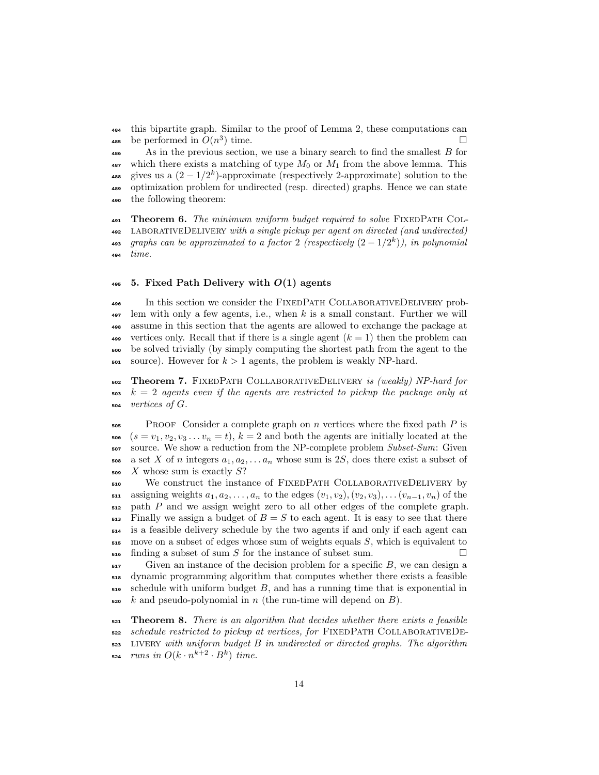<sup>484</sup> this bipartite graph. Similar to the proof of Lemma 2, these computations can 485 be performed in  $O(n^3)$  time.

<sup>486</sup> As in the previous section, we use a binary search to find the smallest B for 487 which there exists a matching of type  $M_0$  or  $M_1$  from the above lemma. This 488 gives us a  $(2 - 1/2^k)$ -approximate (respectively 2-approximate) solution to the <sup>489</sup> optimization problem for undirected (resp. directed) graphs. Hence we can state <sup>490</sup> the following theorem:

**491 Theorem 6.** The minimum uniform budget required to solve  $\text{FIXEDPATH}$  COL-<sup>492</sup> laborativeDelivery with a single pickup per agent on directed (and undirected) **493** graphs can be approximated to a factor 2 (respectively  $(2-1/2^k)$ ), in polynomial 494  $time.$ 

## 495 5. Fixed Path Delivery with  $O(1)$  agents

<sup>496</sup> In this section we consider the FixedPath CollaborativeDelivery prob- $\frac{497}{497}$  lem with only a few agents, i.e., when k is a small constant. Further we will <sup>498</sup> assume in this section that the agents are allowed to exchange the package at vertices only. Recall that if there is a single agent  $(k = 1)$  then the problem can <sup>500</sup> be solved trivially (by simply computing the shortest path from the agent to the 501 source). However for  $k > 1$  agents, the problem is weakly NP-hard.

502 Theorem 7. FIXEDPATH COLLABORATIVEDELIVERY is (weakly) NP-hard for  $\frac{1}{2}$  sos  $k = 2$  agents even if the agents are restricted to pickup the package only at  $504$  vertices of G.

 $\mathsf{1}_{\mathsf{506}}$  PROOF Consider a complete graph on n vertices where the fixed path P is 506  $(s = v_1, v_2, v_3 \ldots v_n = t)$ ,  $k = 2$  and both the agents are initially located at the <sub>507</sub> source. We show a reduction from the NP-complete problem Subset-Sum: Given 508 a set X of n integers  $a_1, a_2, \ldots, a_n$  whose sum is 2S, does there exist a subset of  $509$  X whose sum is exactly S?

<sup>510</sup> We construct the instance of FixedPath CollaborativeDelivery by 511 assigning weights  $a_1, a_2, \ldots, a_n$  to the edges  $(v_1, v_2), (v_2, v_3), \ldots, (v_{n-1}, v_n)$  of the <sup>512</sup> path P and we assign weight zero to all other edges of the complete graph.  $\epsilon_{13}$  Finally we assign a budget of  $B = S$  to each agent. It is easy to see that there <sup>514</sup> is a feasible delivery schedule by the two agents if and only if each agent can  $\frac{1}{515}$  move on a subset of edges whose sum of weights equals S, which is equivalent to  $\mathfrak{so}$  finding a subset of sum S for the instance of subset sum.

 $\frac{1}{517}$  Given an instance of the decision problem for a specific B, we can design a <sup>518</sup> dynamic programming algorithm that computes whether there exists a feasible  $\mathfrak{so}$  schedule with uniform budget B, and has a running time that is exponential in  $\mathfrak{so}$  k and pseudo-polynomial in n (the run-time will depend on B).

 $521$  Theorem 8. There is an algorithm that decides whether there exists a feasible 522 schedule restricted to pickup at vertices, for FIXEDPATH COLLABORATIVEDE- $523$  LIVERY with uniform budget B in undirected or directed graphs. The algorithm 524 runs in  $O(k \cdot n^{k+2} \cdot B^k)$  time.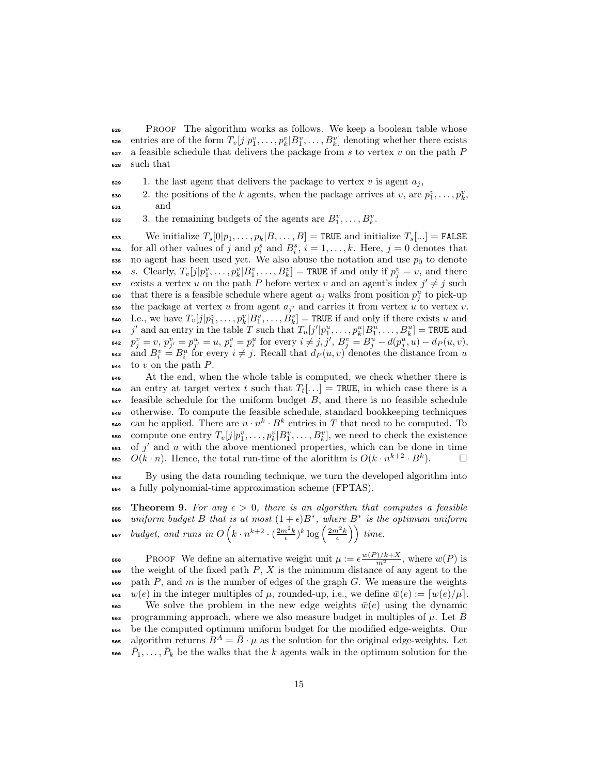Proof The algorithm works as follows. We keep a boolean table whose entries are of the form  $T_v[j|p_1^v,\ldots,p_k^v|B_1^v,\ldots,B_k^v]$  denoting whether there exists  $\epsilon_{\text{527}}$  a feasible schedule that delivers the package from s to vertex v on the path P such that

 $\mathbf{529}$  1. the last agent that delivers the package to vertex v is agent  $a_j$ ,

**530** 2. the positions of the k agents, when the package arrives at v, are  $p_1^v, \ldots, p_k^v$ , <sup>531</sup> and

**532** 3. the remaining budgets of the agents are  $B_1^v, \ldots, B_k^v$ .

533 We initialize  $T_s[0|p_1,\ldots,p_k|B,\ldots,B] = \text{TRUE}$  and initialize  $T_s[\ldots] = \text{FALSE}$ 534 for all other values of j and  $p_i^s$  and  $B_i^s$ ,  $i = 1, ..., k$ . Here,  $j = 0$  denotes that  $\frac{1}{5}$  no agent has been used yet. We also abuse the notation and use  $p_0$  to denote 536 *S.* Clearly,  $T_v[j|p_1^v,\ldots,p_k^v|B_1^v,\ldots,B_k^v] = \text{TRUE}$  if and only if  $p_j^v = v$ , and there EXECT B is a vertex u on the path P before vertex v and an agent's index  $j' \neq j$  such **that there is a feasible schedule where agent**  $a_j$  walks from position  $p_j^u$  to pick-up the package at vertex u from agent  $a_{j'}$  and carries it from vertex u to vertex v. 540 Le., we have  $T_v[j|p_1^v,\ldots,p_k^v|B_1^v,\ldots,B_k^v] = \text{TRUE}$  if and only if there exists u and 541 j' and an entry in the table T such that  $T_u[j'|p_1^u, \ldots, p_k^u|B_1^u, \ldots, B_k^u] = \text{TRUE}$  and 542  $p_j^v = v, p_{j'}^v = p_{j'}^u = u, p_i^v = p_i^u$  for every  $i \neq j, j', B_j^v = B_j^u - d(p_j^u, u) - d_P(u, v)$ , 543 and  $B_i^v = B_i^u$  for every  $i \neq j$ . Recall that  $d_P(u, v)$  denotes the distance from u  $544$  to v on the path P.

<sup>545</sup> At the end, when the whole table is computed, we check whether there is 546 an entry at target vertex t such that  $T_t[\ldots] = \text{TRUE}$ , in which case there is a  $547$  feasible schedule for the uniform budget B, and there is no feasible schedule <sup>548</sup> otherwise. To compute the feasible schedule, standard bookkeeping techniques <sup>549</sup> can be applied. There are  $n \cdot n^k \cdot B^k$  entries in T that need to be computed. To **550** compute one entry  $T_v[j|p_1^v,\ldots,p_k^v|B_1^v,\ldots,B_k^v]$ , we need to check the existence  $\epsilon_{551}$  of j' and u with the above mentioned properties, which can be done in time **552**  $O(k \cdot n)$ . Hence, the total run-time of the alorithm is  $O(k \cdot n^{k+2} \cdot B^k)$ .

<sup>553</sup> By using the data rounding technique, we turn the developed algorithm into <sup>554</sup> a fully polynomial-time approximation scheme (FPTAS).

**555 Theorem 9.** For any  $\epsilon > 0$ , there is an algorithm that computes a feasible  $\mathbf{S}$  is uniform budget B that is at most  $(1+\epsilon)B^*$ , where  $B^*$  is the optimum uniform  $_{\textbf{557}}$  budget, and runs in  $O\left(k\cdot n^{k+2}\cdot(\frac{2m^2k}{\epsilon})^k\log\left(\frac{2m^2k}{\epsilon}\right)\right)$  time.

**PROOF** We define an alternative weight unit  $\mu := \epsilon \frac{w(P)/k+X}{m^2}$ , where  $w(P)$  is  $\frac{1}{559}$  the weight of the fixed path P, X is the minimum distance of any agent to the  $\mathfrak{so}$  path P, and m is the number of edges of the graph G. We measure the weights 561 w(e) in the integer multiples of  $\mu$ , rounded-up, i.e., we define  $\bar{w}(e) := [w(e)/\mu]$ .  $\overline{\phantom{b}}$  See We solve the problem in the new edge weights  $\overline{w}(e)$  using the dynamic  $\epsilon_{\text{563}}$  programming approach, where we also measure budget in multiples of  $\mu$ . Let B <sup>564</sup> be the computed optimum uniform budget for the modified edge-weights. Our **565** algorithm returns  $B^A = \overline{B} \cdot \mu$  as the solution for the original edge-weights. Let **566**  $\overline{P}_1, \ldots, \overline{P}_k$  be the walks that the k agents walk in the optimum solution for the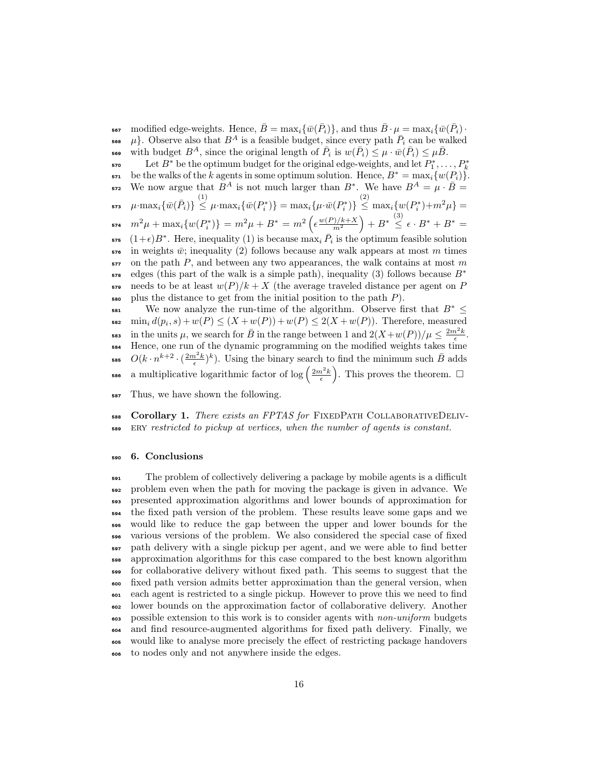**567** modified edge-weights. Hence,  $\overline{B} = \max_i \{ \overline{w}(\overline{P}_i) \}$ , and thus  $\overline{B} \cdot \mu = \max_i \{ \overline{w}(\overline{P}_i) \cdot \overline{P}_i \}$ 568  $\mu$ . Observe also that  $B^A$  is a feasible budget, since every path  $\bar{P}_i$  can be walked **see** with budget  $B^A$ , since the original length of  $\overline{P}_i$  is  $w(\overline{P}_i) \leq \mu \cdot \overline{w}(\overline{P}_i) \leq \mu \overline{B}$ .

Let  $B^*$  be the optimum budget for the original edge-weights, and let  $P_1^*, \ldots, P_k^*$ 570 571 be the walks of the k agents in some optimum solution. Hence,  $B^* = \max_i \{w(P_i)\}.$ **572** We now argue that  $\overline{B}^A$  is not much larger than  $B^*$ . We have  $B^A = \mu \cdot \overline{B} =$ 573  $\mu \cdot \max_i \{\bar{w}(\bar{P}_i)\} \stackrel{(1)}{\leq} \mu \cdot \max_i \{\bar{w}(P_i^*)\} = \max_i \{\mu \cdot \bar{w}(P_i^*)\} \stackrel{(2)}{\leq} \max_i \{w(P_i^*) + m^2 \mu\} =$ 574  $m^2\mu+\max_i\{w(P^*_i)\}=m^2\mu+B^*=m^2\left(\epsilon\frac{w(P)/k+X}{m^2}\right)+B^*\stackrel{(3)}{\le} \epsilon\cdot B^*+B^*=$ **575**  $(1+\epsilon)B^*$ . Here, inequality (1) is because  $\max_i \overline{P}_i$  is the optimum feasible solution  $\overline{\text{576}}$  in weights  $\overline{w}$ ; inequality (2) follows because any walk appears at most m times  $577$  on the path P, and between any two appearances, the walk contains at most m edges (this part of the walk is a simple path), inequality (3) follows because  $B^*$ 578  $\mathbf{579}$  needs to be at least  $w(P)/k + X$  (the average traveled distance per agent on P  $\mathfrak{so}$  plus the distance to get from the initial position to the path P).

 $\frac{581}{100}$  We now analyze the run-time of the algorithm. Observe first that  $B^* \leq$ **ss2** min<sub>i</sub>  $d(p_i, s) + w(P) \le (X + w(P)) + w(P) \le 2(X + w(P))$ . Therefore, measured in the units  $\mu$ , we search for  $\bar{B}$  in the range between 1 and  $2(X+w(P))/\mu \leq \frac{2m^2k}{\epsilon}$ . Hence, one run of the dynamic programming on the modified weights takes time  $O(k \cdot n^{k+2} \cdot (\frac{2m^2k}{\epsilon})^k)$ . Using the binary search to find the minimum such  $\bar{B}$  adds a multiplicative logarithmic factor of  $\log\left(\frac{2m^2k}{\epsilon}\right)$ . This proves the theorem.  $\Box$ 

<sup>587</sup> Thus, we have shown the following.

588 Corollary 1. There exists an FPTAS for FIXEDPATH COLLABORATIVEDELIV-<sup>589</sup> ery restricted to pickup at vertices, when the number of agents is constant.

### <sup>590</sup> 6. Conclusions

 The problem of collectively delivering a package by mobile agents is a difficult problem even when the path for moving the package is given in advance. We presented approximation algorithms and lower bounds of approximation for the fixed path version of the problem. These results leave some gaps and we would like to reduce the gap between the upper and lower bounds for the various versions of the problem. We also considered the special case of fixed path delivery with a single pickup per agent, and we were able to find better approximation algorithms for this case compared to the best known algorithm for collaborative delivery without fixed path. This seems to suggest that the fixed path version admits better approximation than the general version, when each agent is restricted to a single pickup. However to prove this we need to find lower bounds on the approximation factor of collaborative delivery. Another possible extension to this work is to consider agents with non-uniform budgets and find resource-augmented algorithms for fixed path delivery. Finally, we would like to analyse more precisely the effect of restricting package handovers to nodes only and not anywhere inside the edges.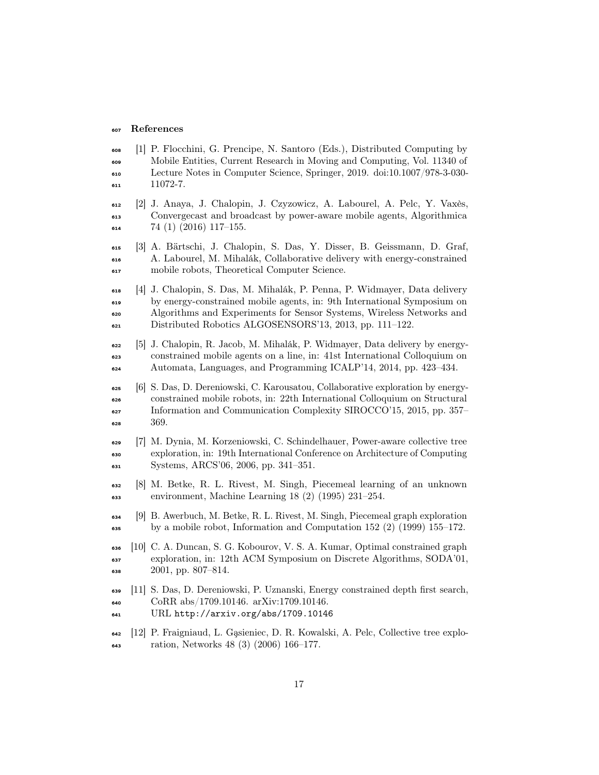#### References

- [1] P. Flocchini, G. Prencipe, N. Santoro (Eds.), Distributed Computing by Mobile Entities, Current Research in Moving and Computing, Vol. 11340 of Lecture Notes in Computer Science, Springer, 2019. doi:10.1007/978-3-030- 611 11072-7.
- [2] J. Anaya, J. Chalopin, J. Czyzowicz, A. Labourel, A. Pelc, Y. Vaxès, Convergecast and broadcast by power-aware mobile agents, Algorithmica  $\frac{614}{74}$  (1) (2016) 117-155.
- [3] A. Bärtschi, J. Chalopin, S. Das, Y. Disser, B. Geissmann, D. Graf, A. Labourel, M. Mihalák, Collaborative delivery with energy-constrained mobile robots, Theoretical Computer Science.
- [4] J. Chalopin, S. Das, M. Mihalák, P. Penna, P. Widmayer, Data delivery by energy-constrained mobile agents, in: 9th International Symposium on Algorithms and Experiments for Sensor Systems, Wireless Networks and Distributed Robotics ALGOSENSORS'13, 2013, pp. 111–122.
- [5] J. Chalopin, R. Jacob, M. Mihalák, P. Widmayer, Data delivery by energy- constrained mobile agents on a line, in: 41st International Colloquium on Automata, Languages, and Programming ICALP'14, 2014, pp. 423–434.
- [6] S. Das, D. Dereniowski, C. Karousatou, Collaborative exploration by energy- constrained mobile robots, in: 22th International Colloquium on Structural Information and Communication Complexity SIROCCO'15, 2015, pp. 357– 628  $369.$
- [7] M. Dynia, M. Korzeniowski, C. Schindelhauer, Power-aware collective tree exploration, in: 19th International Conference on Architecture of Computing Systems, ARCS'06, 2006, pp. 341–351.
- [8] M. Betke, R. L. Rivest, M. Singh, Piecemeal learning of an unknown environment, Machine Learning 18 (2) (1995) 231–254.
- [9] B. Awerbuch, M. Betke, R. L. Rivest, M. Singh, Piecemeal graph exploration by a mobile robot, Information and Computation 152 (2) (1999) 155–172.
- [10] C. A. Duncan, S. G. Kobourov, V. S. A. Kumar, Optimal constrained graph exploration, in: 12th ACM Symposium on Discrete Algorithms, SODA'01, 2001, pp. 807–814.
- [11] S. Das, D. Dereniowski, P. Uznanski, Energy constrained depth first search, CoRR abs/1709.10146. arXiv:1709.10146.
- URL http://arxiv.org/abs/1709.10146
- [12] P. Fraigniaud, L. Gasieniec, D. R. Kowalski, A. Pelc, Collective tree explo-ration, Networks 48 (3) (2006) 166–177.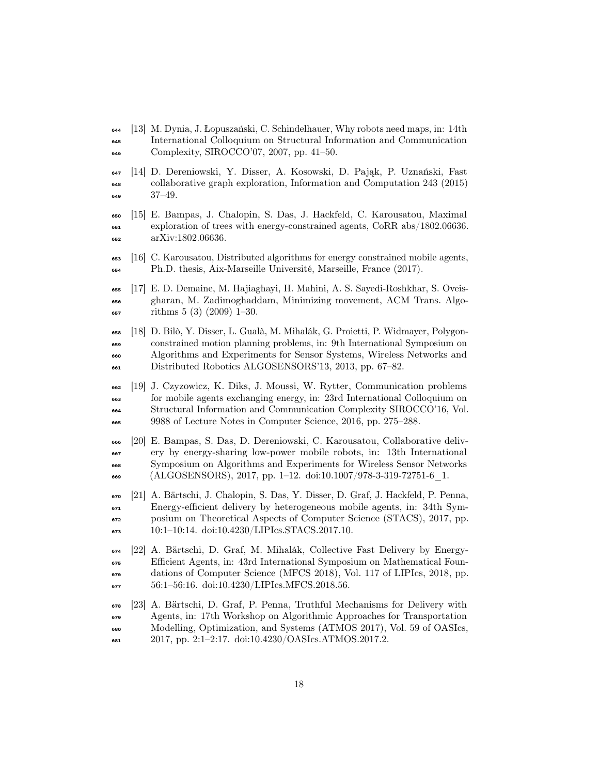- [13] M. Dynia, J. Łopuszański, C. Schindelhauer, Why robots need maps, in: 14th International Colloquium on Structural Information and Communication Complexity, SIROCCO'07, 2007, pp. 41–50.
- [14] D. Dereniowski, Y. Disser, A. Kosowski, D. Pająk, P. Uznański, Fast collaborative graph exploration, Information and Computation 243 (2015) 37–49.
- [15] E. Bampas, J. Chalopin, S. Das, J. Hackfeld, C. Karousatou, Maximal exploration of trees with energy-constrained agents, CoRR abs/1802.06636. arXiv:1802.06636.
- [16] C. Karousatou, Distributed algorithms for energy constrained mobile agents, Ph.D. thesis, Aix-Marseille Université, Marseille, France (2017).
- [17] E. D. Demaine, M. Hajiaghayi, H. Mahini, A. S. Sayedi-Roshkhar, S. Oveis- gharan, M. Zadimoghaddam, Minimizing movement, ACM Trans. Algo-657 rithms  $5(3)(2009)$  1–30.
- [18] D. Bilò, Y. Disser, L. Gualà, M. Mihalák, G. Proietti, P. Widmayer, Polygon- constrained motion planning problems, in: 9th International Symposium on Algorithms and Experiments for Sensor Systems, Wireless Networks and Distributed Robotics ALGOSENSORS'13, 2013, pp. 67–82.
- [19] J. Czyzowicz, K. Diks, J. Moussi, W. Rytter, Communication problems for mobile agents exchanging energy, in: 23rd International Colloquium on Structural Information and Communication Complexity SIROCCO'16, Vol. 9988 of Lecture Notes in Computer Science, 2016, pp. 275–288.
- [20] E. Bampas, S. Das, D. Dereniowski, C. Karousatou, Collaborative deliv- ery by energy-sharing low-power mobile robots, in: 13th International Symposium on Algorithms and Experiments for Wireless Sensor Networks  $\bullet\bullet$  (ALGOSENSORS), 2017, pp. 1–12. doi:10.1007/978-3-319-72751-6 1.
- [21] A. Bärtschi, J. Chalopin, S. Das, Y. Disser, D. Graf, J. Hackfeld, P. Penna, Energy-efficient delivery by heterogeneous mobile agents, in: 34th Sym- posium on Theoretical Aspects of Computer Science (STACS), 2017, pp. 10:1–10:14. doi:10.4230/LIPIcs.STACS.2017.10.
- [22] A. Bärtschi, D. Graf, M. Mihalák, Collective Fast Delivery by Energy- Efficient Agents, in: 43rd International Symposium on Mathematical Foun- dations of Computer Science (MFCS 2018), Vol. 117 of LIPIcs, 2018, pp. 56:1–56:16. doi:10.4230/LIPIcs.MFCS.2018.56.
- [23] A. Bärtschi, D. Graf, P. Penna, Truthful Mechanisms for Delivery with Agents, in: 17th Workshop on Algorithmic Approaches for Transportation Modelling, Optimization, and Systems (ATMOS 2017), Vol. 59 of OASIcs, 2017, pp. 2:1–2:17. doi:10.4230/OASIcs.ATMOS.2017.2.